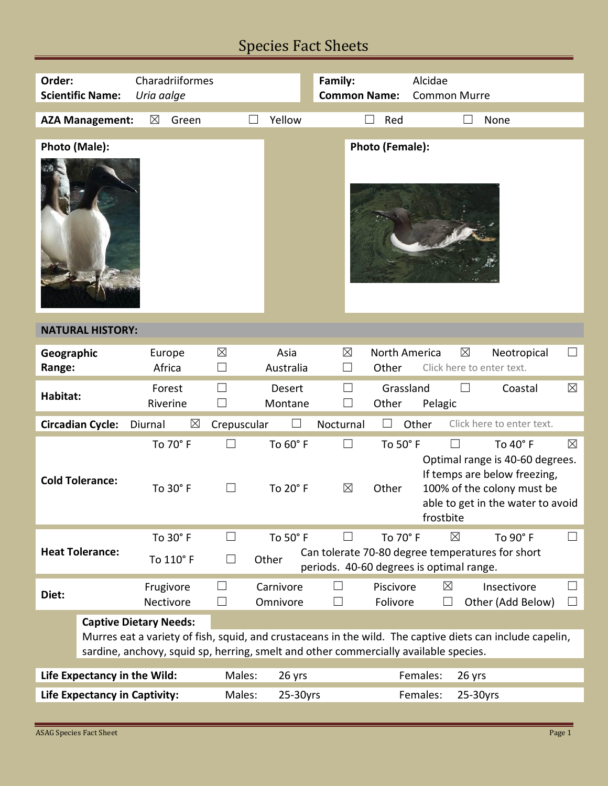# Species Fact Sheets

| Order:                               | Charadriiformes<br><b>Scientific Name:</b><br>Uria aalge                                                                                                                                                                          |                        |                               |                       | Family:<br><b>Common Name:</b> |                               | Alcidae<br><b>Common Murre</b>                                                                              |                                                                                                                                                |                   |  |
|--------------------------------------|-----------------------------------------------------------------------------------------------------------------------------------------------------------------------------------------------------------------------------------|------------------------|-------------------------------|-----------------------|--------------------------------|-------------------------------|-------------------------------------------------------------------------------------------------------------|------------------------------------------------------------------------------------------------------------------------------------------------|-------------------|--|
|                                      |                                                                                                                                                                                                                                   |                        |                               |                       |                                |                               |                                                                                                             |                                                                                                                                                |                   |  |
|                                      | <b>AZA Management:</b>                                                                                                                                                                                                            | $\boxtimes$<br>Green   |                               | Yellow                |                                | Red                           |                                                                                                             | None                                                                                                                                           |                   |  |
|                                      | Photo (Male):                                                                                                                                                                                                                     |                        |                               |                       |                                | Photo (Female):               |                                                                                                             |                                                                                                                                                |                   |  |
| <b>NATURAL HISTORY:</b>              |                                                                                                                                                                                                                                   |                        |                               |                       |                                |                               |                                                                                                             |                                                                                                                                                |                   |  |
| Geographic<br>Range:                 |                                                                                                                                                                                                                                   | Europe<br>Africa       | $\times$<br>$\vert \ \ \vert$ | Asia<br>Australia     | $\boxtimes$                    | <b>North America</b><br>Other | $\boxtimes$<br>Click here to enter text.                                                                    | Neotropical                                                                                                                                    | $\vert \ \ \vert$ |  |
| Habitat:                             |                                                                                                                                                                                                                                   | Forest<br>Riverine     | $\Box$<br>$\Box$              | Desert<br>Montane     | $\Box$<br>$\vert \ \ \vert$    | Grassland<br>Other            | Pelagic                                                                                                     | Coastal                                                                                                                                        | $\boxtimes$       |  |
|                                      | <b>Circadian Cycle:</b>                                                                                                                                                                                                           | $\boxtimes$<br>Diurnal | Crepuscular                   | $\vert \ \ \vert$     | Nocturnal                      |                               | Other                                                                                                       | Click here to enter text.                                                                                                                      |                   |  |
| <b>Cold Tolerance:</b>               |                                                                                                                                                                                                                                   | To 70° F<br>To 30° F   | $\vert \ \ \vert$             | To 60° F<br>To 20° F  | $\Box$<br>$\boxtimes$          | To 50° F<br>Other             | frostbite                                                                                                   | To 40° F<br>Optimal range is 40-60 degrees.<br>If temps are below freezing,<br>100% of the colony must be<br>able to get in the water to avoid | $\boxtimes$       |  |
| <b>Heat Tolerance:</b>               |                                                                                                                                                                                                                                   | To 30° F<br>To 110° F  | $\perp$<br>$\perp$            | To 50° F<br>Other     | $\vert \ \ \vert$              | To 70° F                      | $\boxtimes$<br>Can tolerate 70-80 degree temperatures for short<br>periods. 40-60 degrees is optimal range. | To 90° F                                                                                                                                       | $\Box$            |  |
| Diet:                                |                                                                                                                                                                                                                                   | Frugivore<br>Nectivore | $\Box$<br>$\Box$              | Carnivore<br>Omnivore | $\perp$                        | Piscivore<br>Folivore         | $\boxtimes$<br>$\mathcal{L}$                                                                                | Insectivore<br>Other (Add Below)                                                                                                               | $\perp$           |  |
|                                      | <b>Captive Dietary Needs:</b><br>Murres eat a variety of fish, squid, and crustaceans in the wild. The captive diets can include capelin,<br>sardine, anchovy, squid sp, herring, smelt and other commercially available species. |                        |                               |                       |                                |                               |                                                                                                             |                                                                                                                                                |                   |  |
| Life Expectancy in the Wild:         |                                                                                                                                                                                                                                   |                        | Males:                        | 26 yrs                |                                |                               | Females:<br>26 yrs                                                                                          |                                                                                                                                                |                   |  |
| <b>Life Expectancy in Captivity:</b> |                                                                                                                                                                                                                                   |                        | Males:                        | 25-30yrs              |                                |                               | Females:<br>25-30yrs                                                                                        |                                                                                                                                                |                   |  |
|                                      |                                                                                                                                                                                                                                   |                        |                               |                       |                                |                               |                                                                                                             |                                                                                                                                                |                   |  |

Е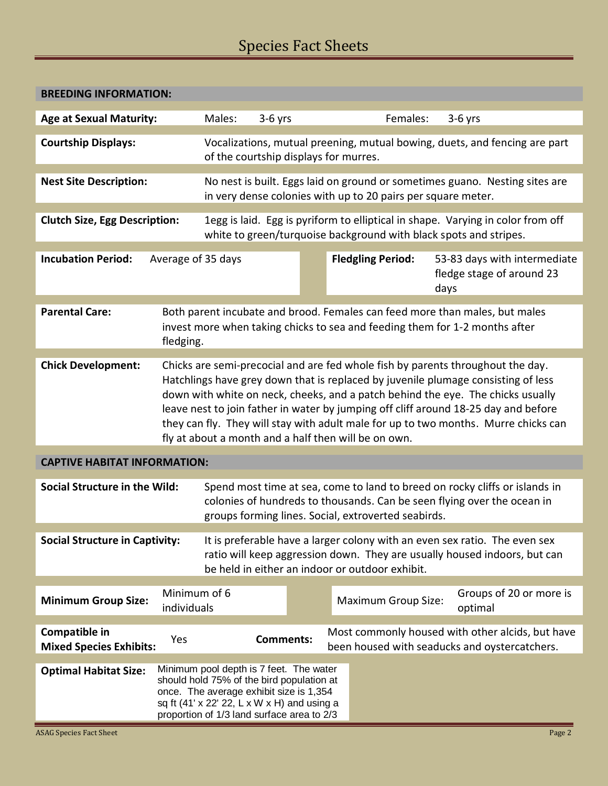# Species Fact Sheets

| <b>BREEDING INFORMATION:</b>                                                                                                                                                                     |                                                                                                                                                                                                                                                                                                                                                                                                            |        |                  |  |                          |                            |      |                                                                                                   |
|--------------------------------------------------------------------------------------------------------------------------------------------------------------------------------------------------|------------------------------------------------------------------------------------------------------------------------------------------------------------------------------------------------------------------------------------------------------------------------------------------------------------------------------------------------------------------------------------------------------------|--------|------------------|--|--------------------------|----------------------------|------|---------------------------------------------------------------------------------------------------|
| <b>Age at Sexual Maturity:</b>                                                                                                                                                                   |                                                                                                                                                                                                                                                                                                                                                                                                            | Males: | $3-6$ yrs        |  |                          | Females:                   |      | $3-6$ yrs                                                                                         |
| <b>Courtship Displays:</b>                                                                                                                                                                       | Vocalizations, mutual preening, mutual bowing, duets, and fencing are part<br>of the courtship displays for murres.                                                                                                                                                                                                                                                                                        |        |                  |  |                          |                            |      |                                                                                                   |
| <b>Nest Site Description:</b>                                                                                                                                                                    | No nest is built. Eggs laid on ground or sometimes guano. Nesting sites are<br>in very dense colonies with up to 20 pairs per square meter.                                                                                                                                                                                                                                                                |        |                  |  |                          |                            |      |                                                                                                   |
| <b>Clutch Size, Egg Description:</b>                                                                                                                                                             | 1egg is laid. Egg is pyriform to elliptical in shape. Varying in color from off<br>white to green/turquoise background with black spots and stripes.                                                                                                                                                                                                                                                       |        |                  |  |                          |                            |      |                                                                                                   |
| <b>Incubation Period:</b>                                                                                                                                                                        | Average of 35 days                                                                                                                                                                                                                                                                                                                                                                                         |        |                  |  | <b>Fledgling Period:</b> |                            | days | 53-83 days with intermediate<br>fledge stage of around 23                                         |
| <b>Parental Care:</b><br>Both parent incubate and brood. Females can feed more than males, but males<br>invest more when taking chicks to sea and feeding them for 1-2 months after<br>fledging. |                                                                                                                                                                                                                                                                                                                                                                                                            |        |                  |  |                          |                            |      |                                                                                                   |
| <b>Chick Development:</b>                                                                                                                                                                        |                                                                                                                                                                                                                                                                                                                                                                                                            |        |                  |  |                          |                            |      | Chicks are semi-precocial and are fed whole fish by parents throughout the day.                   |
|                                                                                                                                                                                                  | Hatchlings have grey down that is replaced by juvenile plumage consisting of less<br>down with white on neck, cheeks, and a patch behind the eye. The chicks usually<br>leave nest to join father in water by jumping off cliff around 18-25 day and before<br>they can fly. They will stay with adult male for up to two months. Murre chicks can<br>fly at about a month and a half then will be on own. |        |                  |  |                          |                            |      |                                                                                                   |
| <b>CAPTIVE HABITAT INFORMATION:</b>                                                                                                                                                              |                                                                                                                                                                                                                                                                                                                                                                                                            |        |                  |  |                          |                            |      |                                                                                                   |
| Social Structure in the Wild:                                                                                                                                                                    | Spend most time at sea, come to land to breed on rocky cliffs or islands in<br>colonies of hundreds to thousands. Can be seen flying over the ocean in<br>groups forming lines. Social, extroverted seabirds.                                                                                                                                                                                              |        |                  |  |                          |                            |      |                                                                                                   |
| <b>Social Structure in Captivity:</b>                                                                                                                                                            | It is preferable have a larger colony with an even sex ratio. The even sex<br>ratio will keep aggression down. They are usually housed indoors, but can<br>be held in either an indoor or outdoor exhibit.                                                                                                                                                                                                 |        |                  |  |                          |                            |      |                                                                                                   |
| <b>Minimum Group Size:</b>                                                                                                                                                                       | Minimum of 6<br>individuals                                                                                                                                                                                                                                                                                                                                                                                |        |                  |  |                          | <b>Maximum Group Size:</b> |      | Groups of 20 or more is<br>optimal                                                                |
| Compatible in<br><b>Mixed Species Exhibits:</b>                                                                                                                                                  | Yes                                                                                                                                                                                                                                                                                                                                                                                                        |        | <b>Comments:</b> |  |                          |                            |      | Most commonly housed with other alcids, but have<br>been housed with seaducks and oystercatchers. |
| <b>Optimal Habitat Size:</b>                                                                                                                                                                     | Minimum pool depth is 7 feet. The water<br>should hold 75% of the bird population at<br>once. The average exhibit size is 1,354<br>sq ft (41' x 22' 22, L x W x H) and using a<br>proportion of 1/3 land surface area to 2/3                                                                                                                                                                               |        |                  |  |                          |                            |      |                                                                                                   |